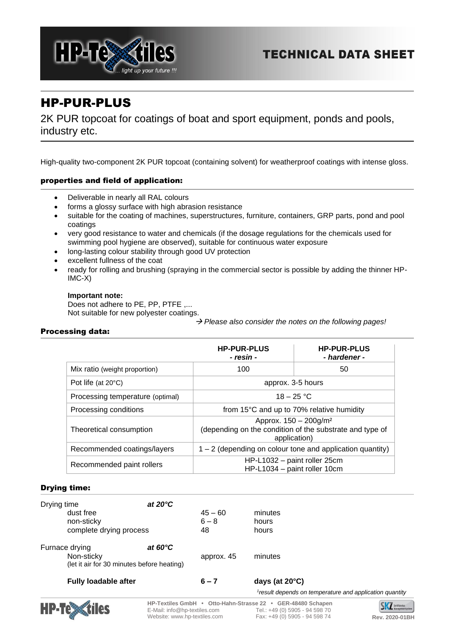



# HP-PUR-PLUS

2K PUR topcoat for coatings of boat and sport equipment, ponds and pools, industry etc.

High-quality two-component 2K PUR topcoat (containing solvent) for weatherproof coatings with intense gloss.

# properties and field of application:

- Deliverable in nearly all RAL colours
- forms a glossy surface with high abrasion resistance
- suitable for the coating of machines, superstructures, furniture, containers, GRP parts, pond and pool coatings
- very good resistance to water and chemicals (if the dosage regulations for the chemicals used for swimming pool hygiene are observed), suitable for continuous water exposure
- long-lasting colour stability through good UV protection
- excellent fullness of the coat
- ready for rolling and brushing (spraying in the commercial sector is possible by adding the thinner HP-IMC-X)

## **Important note:**

Does not adhere to PE, PP, PTFE ,... Not suitable for new polyester coatings.

→ *Please also consider the notes on the following pages!*

# Processing data:

|                                  | <b>HP-PUR-PLUS</b><br>- resin -                                                                               | <b>HP-PUR-PLUS</b><br>- hardener - |  |
|----------------------------------|---------------------------------------------------------------------------------------------------------------|------------------------------------|--|
| Mix ratio (weight proportion)    | 100                                                                                                           | 50                                 |  |
| Pot life (at $20^{\circ}$ C)     | approx. 3-5 hours                                                                                             |                                    |  |
| Processing temperature (optimal) | $18 - 25 °C$                                                                                                  |                                    |  |
| Processing conditions            | from 15°C and up to 70% relative humidity                                                                     |                                    |  |
| Theoretical consumption          | Approx. 150 - 200g/m <sup>2</sup><br>(depending on the condition of the substrate and type of<br>application) |                                    |  |
| Recommended coatings/layers      | $1 - 2$ (depending on colour tone and application quantity)                                                   |                                    |  |
| Recommended paint rollers        | HP-L1032 - paint roller 25cm<br>HP-L1034 - paint roller 10cm                                                  |                                    |  |

#### Drying time:

| Drying time                 | at $20^{\circ}$ C                          |            |                                                                     |
|-----------------------------|--------------------------------------------|------------|---------------------------------------------------------------------|
| dust free                   |                                            | $45 - 60$  | minutes                                                             |
| non-sticky                  |                                            | $6 - 8$    | hours                                                               |
| complete drying process     |                                            | 48         | hours                                                               |
| Furnace drying              | at $60^{\circ}$ C                          |            |                                                                     |
| Non-sticky                  |                                            | approx. 45 | minutes                                                             |
|                             | (let it air for 30 minutes before heating) |            |                                                                     |
| <b>Fully loadable after</b> |                                            | $6 - 7$    | days (at $20^{\circ}$ C)                                            |
|                             |                                            |            | <sup>1</sup> result depends on temperature and application quantity |



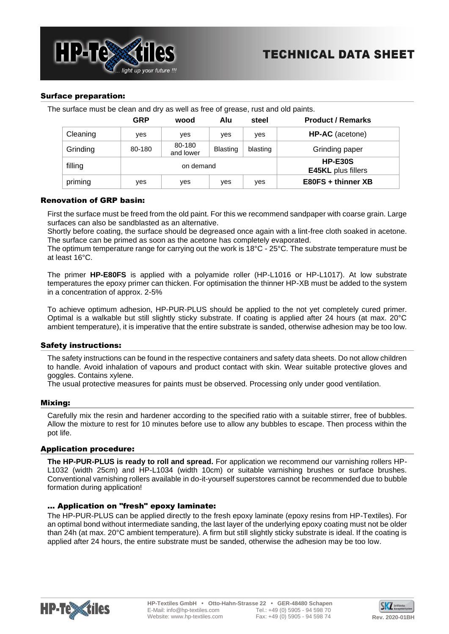

## Surface preparation:

The surface must be clean and dry as well as free of grease, rust and old paints.

|          | <b>GRP</b> | wood                | Alu      | steel                                  | <b>Product / Remarks</b> |  |
|----------|------------|---------------------|----------|----------------------------------------|--------------------------|--|
| Cleaning | <b>ves</b> | <b>ves</b>          | yes      | yes                                    | HP-AC (acetone)          |  |
| Grinding | 80-180     | 80-180<br>and lower | Blasting | blasting                               | Grinding paper           |  |
| filling  | on demand  |                     |          | $HP-E30S$<br><b>E45KL</b> plus fillers |                          |  |
| priming  | yes        | yes                 | yes      | yes                                    | E80FS + thinner XB       |  |

## Renovation of GRP basin:

First the surface must be freed from the old paint. For this we recommend sandpaper with coarse grain. Large surfaces can also be sandblasted as an alternative.

Shortly before coating, the surface should be degreased once again with a lint-free cloth soaked in acetone. The surface can be primed as soon as the acetone has completely evaporated.

The optimum temperature range for carrying out the work is 18°C - 25°C. The substrate temperature must be at least 16°C.

The primer **HP-E80FS** is applied with a polyamide roller (HP-L1016 or HP-L1017). At low substrate temperatures the epoxy primer can thicken. For optimisation the thinner HP-XB must be added to the system in a concentration of approx. 2-5%

To achieve optimum adhesion, HP-PUR-PLUS should be applied to the not yet completely cured primer. Optimal is a walkable but still slightly sticky substrate. If coating is applied after 24 hours (at max. 20°C ambient temperature), it is imperative that the entire substrate is sanded, otherwise adhesion may be too low.

#### Safety instructions:

The safety instructions can be found in the respective containers and safety data sheets. Do not allow children to handle. Avoid inhalation of vapours and product contact with skin. Wear suitable protective gloves and goggles. Contains xylene.

The usual protective measures for paints must be observed. Processing only under good ventilation.

#### Mixing:

Carefully mix the resin and hardener according to the specified ratio with a suitable stirrer, free of bubbles. Allow the mixture to rest for 10 minutes before use to allow any bubbles to escape. Then process within the pot life.

#### Application procedure:

**The HP-PUR-PLUS is ready to roll and spread.** For application we recommend our varnishing rollers HP-L1032 (width 25cm) and HP-L1034 (width 10cm) or suitable varnishing brushes or surface brushes. Conventional varnishing rollers available in do-it-yourself superstores cannot be recommended due to bubble formation during application!

#### ... Application on "fresh" epoxy laminate:

The HP-PUR-PLUS can be applied directly to the fresh epoxy laminate (epoxy resins from HP-Textiles). For an optimal bond without intermediate sanding, the last layer of the underlying epoxy coating must not be older than 24h (at max. 20°C ambient temperature). A firm but still slightly sticky substrate is ideal. If the coating is applied after 24 hours, the entire substrate must be sanded, otherwise the adhesion may be too low.